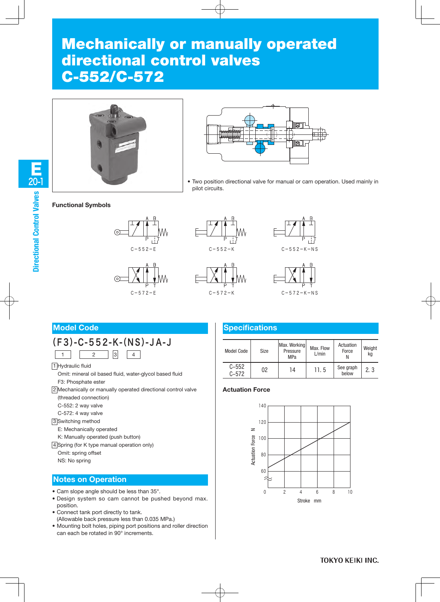# kgMechanically or manually operated directional control valves C-552/C-572





• Two position directional valve for manual or cam operation. Used mainly in pilot circuits.

**Functional Symbols**





 $C-572-K$ 







## **Model Code**

(F3)-C-552-K-(NS)-JA-J



1 Hydraulic fluid

Omit: mineral oil based fluid, water-glycol based fluid F3: Phosphate ester

2 Mechanically or manually operated directional control valve

- (threaded connection)
- C-552: 2 way valve
- C-572: 4 way valve
- 3 Switching method
	- E: Mechanically operated
	- K: Manually operated (push button)
- 4 Spring (for K type manual operation only)
	- Omit: spring offset
	- NS: No spring

# **Notes on Operation**

- Cam slope angle should be less than 35°.
- Design system so cam cannot be pushed beyond max. position.
- Connect tank port directly to tank. (Allowable back pressure less than 0.035 MPa.)
- Mounting bolt holes, piping port positions and roller direction can each be rotated in 90° increments.

# **Specifications**

| Model Code             | <b>Size</b> | Max. Working<br>Pressure<br>MPa | Max. Flow<br>L/min | Actuation<br>Force | Weight<br>kg |
|------------------------|-------------|---------------------------------|--------------------|--------------------|--------------|
| $C - 552$<br>$C - 572$ | 02          | 14                              | 11.5               | See graph<br>below | 2.3          |

## **Actuation Force**